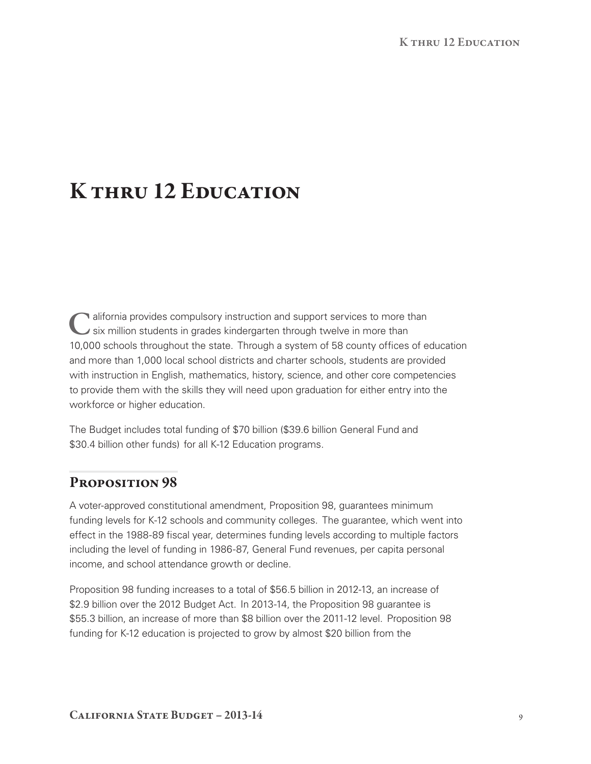# K THRU 12 EDUCATION

If alifornia provides compulsory instruction and support services to more than six million students in grades kindergarten through twelve in more than 10,000 schools throughout the state. Through a system of 58 county offices of education and more than 1,000 local school districts and charter schools, students are provided with instruction in English, mathematics, history, science, and other core competencies to provide them with the skills they will need upon graduation for either entry into the workforce or higher education.

The Budget includes total funding of \$70 billion (\$39.6 billion General Fund and \$30.4 billion other funds) for all K-12 Education programs.

## PROPOSITION 98

A voter‑approved constitutional amendment, Proposition 98, guarantees minimum funding levels for K-12 schools and community colleges. The guarantee, which went into effect in the 1988‑89 fiscal year, determines funding levels according to multiple factors including the level of funding in 1986‑87, General Fund revenues, per capita personal income, and school attendance growth or decline.

Proposition 98 funding increases to a total of \$56.5 billion in 2012‑13, an increase of \$2.9 billion over the 2012 Budget Act. In 2013-14, the Proposition 98 guarantee is \$55.3 billion, an increase of more than \$8 billion over the 2011-12 level. Proposition 98 funding for K-12 education is projected to grow by almost \$20 billion from the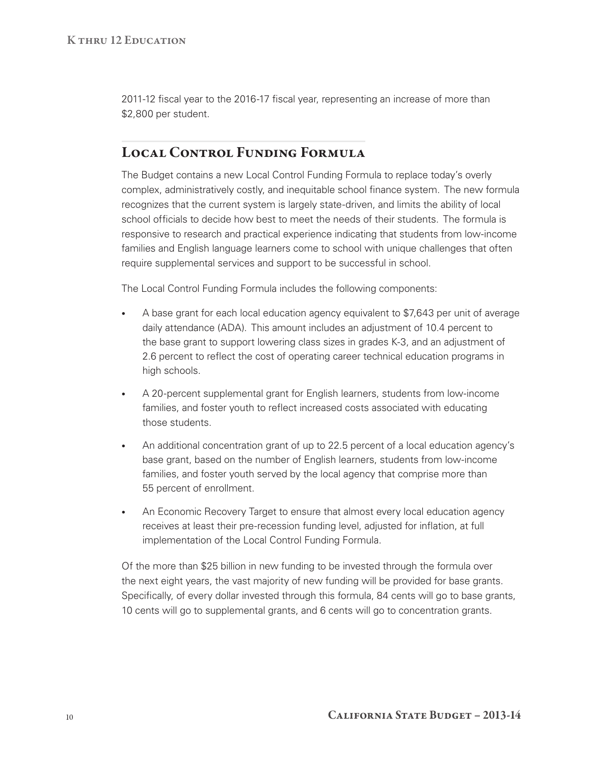2011-12 fiscal year to the 2016-17 fiscal year, representing an increase of more than \$2,800 per student.

## LOCAL CONTROL FUNDING FORMULA

The Budget contains a new Local Control Funding Formula to replace today's overly complex, administratively costly, and inequitable school finance system. The new formula recognizes that the current system is largely state‑driven, and limits the ability of local school officials to decide how best to meet the needs of their students. The formula is responsive to research and practical experience indicating that students from low-income families and English language learners come to school with unique challenges that often require supplemental services and support to be successful in school.

The Local Control Funding Formula includes the following components:

- A base grant for each local education agency equivalent to \$7,643 per unit of average daily attendance (ADA). This amount includes an adjustment of 10.4 percent to the base grant to support lowering class sizes in grades K‑3, and an adjustment of 2.6 percent to reflect the cost of operating career technical education programs in high schools.
- A 20-percent supplemental grant for English learners, students from low-income families, and foster youth to reflect increased costs associated with educating those students.
- An additional concentration grant of up to 22.5 percent of a local education agency's base grant, based on the number of English learners, students from low-income families, and foster youth served by the local agency that comprise more than 55 percent of enrollment.
- An Economic Recovery Target to ensure that almost every local education agency receives at least their pre‑recession funding level, adjusted for inflation, at full implementation of the Local Control Funding Formula.

Of the more than \$25 billion in new funding to be invested through the formula over the next eight years, the vast majority of new funding will be provided for base grants. Specifically, of every dollar invested through this formula, 84 cents will go to base grants, 10 cents will go to supplemental grants, and 6 cents will go to concentration grants.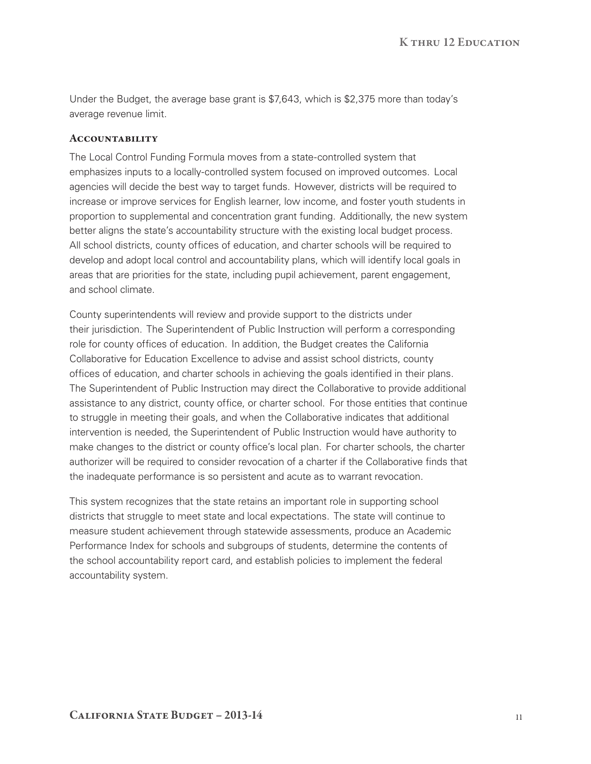Under the Budget, the average base grant is \$7,643, which is \$2,375 more than today's average revenue limit.

#### **ACCOUNTABILITY**

The Local Control Funding Formula moves from a state-controlled system that emphasizes inputs to a locally‑controlled system focused on improved outcomes. Local agencies will decide the best way to target funds. However, districts will be required to increase or improve services for English learner, low income, and foster youth students in proportion to supplemental and concentration grant funding. Additionally, the new system better aligns the state's accountability structure with the existing local budget process. All school districts, county offices of education, and charter schools will be required to develop and adopt local control and accountability plans, which will identify local goals in areas that are priorities for the state, including pupil achievement, parent engagement, and school climate.

County superintendents will review and provide support to the districts under their jurisdiction. The Superintendent of Public Instruction will perform a corresponding role for county offices of education. In addition, the Budget creates the California Collaborative for Education Excellence to advise and assist school districts, county offices of education, and charter schools in achieving the goals identified in their plans. The Superintendent of Public Instruction may direct the Collaborative to provide additional assistance to any district, county office, or charter school. For those entities that continue to struggle in meeting their goals, and when the Collaborative indicates that additional intervention is needed, the Superintendent of Public Instruction would have authority to make changes to the district or county office's local plan. For charter schools, the charter authorizer will be required to consider revocation of a charter if the Collaborative finds that the inadequate performance is so persistent and acute as to warrant revocation.

This system recognizes that the state retains an important role in supporting school districts that struggle to meet state and local expectations. The state will continue to measure student achievement through statewide assessments, produce an Academic Performance Index for schools and subgroups of students, determine the contents of the school accountability report card, and establish policies to implement the federal accountability system.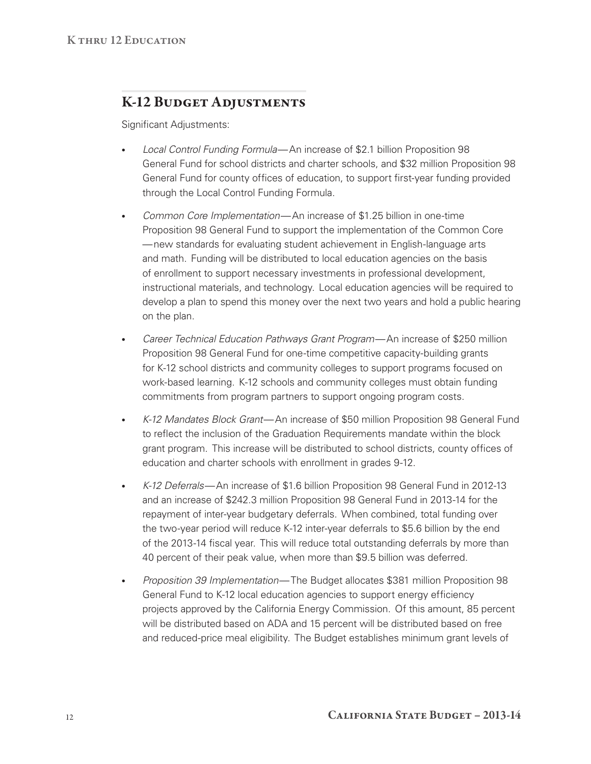## K‑12 Budget Adjustments

Significant Adjustments:

- • *Local Control Funding Formula* —An increase of \$2.1 billion Proposition 98 General Fund for school districts and charter schools, and \$32 million Proposition 98 General Fund for county offices of education, to support first‑year funding provided through the Local Control Funding Formula.
- *Common Core Implementation*—An increase of \$1.25 billion in one-time Proposition 98 General Fund to support the implementation of the Common Core — new standards for evaluating student achievement in English-language arts and math. Funding will be distributed to local education agencies on the basis of enrollment to support necessary investments in professional development, instructional materials, and technology. Local education agencies will be required to develop a plan to spend this money over the next two years and hold a public hearing on the plan.
- *Career Technical Education Pathways Grant Program*—An increase of \$250 million Proposition 98 General Fund for one-time competitive capacity-building grants for K-12 school districts and community colleges to support programs focused on work-based learning. K-12 schools and community colleges must obtain funding commitments from program partners to support ongoing program costs.
- • *K‑12 Mandates Block Grant* —An increase of \$50 million Proposition 98 General Fund to reflect the inclusion of the Graduation Requirements mandate within the block grant program. This increase will be distributed to school districts, county offices of education and charter schools with enrollment in grades 9-12.
- K-12 Deferrals—An increase of \$1.6 billion Proposition 98 General Fund in 2012-13 and an increase of \$242.3 million Proposition 98 General Fund in 2013-14 for the repayment of inter-year budgetary deferrals. When combined, total funding over the two‑year period will reduce K‑12 inter‑year deferrals to \$5.6 billion by the end of the 2013‑14 fiscal year. This will reduce total outstanding deferrals by more than 40 percent of their peak value, when more than \$9.5 billion was deferred.
- • *Proposition 39 Implementation* —The Budget allocates \$381 million Proposition 98 General Fund to K‑12 local education agencies to support energy efficiency projects approved by the California Energy Commission. Of this amount, 85 percent will be distributed based on ADA and 15 percent will be distributed based on free and reduced‑price meal eligibility. The Budget establishes minimum grant levels of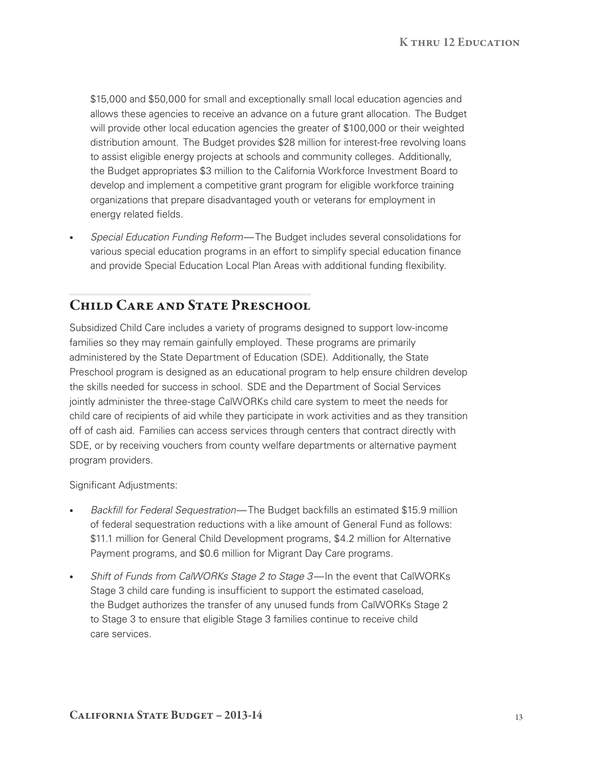\$15,000 and \$50,000 for small and exceptionally small local education agencies and allows these agencies to receive an advance on a future grant allocation. The Budget will provide other local education agencies the greater of \$100,000 or their weighted distribution amount. The Budget provides \$28 million for interest-free revolving loans to assist eligible energy projects at schools and community colleges. Additionally, the Budget appropriates \$3 million to the California Workforce Investment Board to develop and implement a competitive grant program for eligible workforce training organizations that prepare disadvantaged youth or veterans for employment in energy related fields.

*Special Education Funding Reform*— The Budget includes several consolidations for various special education programs in an effort to simplify special education finance and provide Special Education Local Plan Areas with additional funding flexibility.

## CHILD CARE AND STATE PRESCHOOL

Subsidized Child Care includes a variety of programs designed to support low‑income families so they may remain gainfully employed. These programs are primarily administered by the State Department of Education (SDE). Additionally, the State Preschool program is designed as an educational program to help ensure children develop the skills needed for success in school. SDE and the Department of Social Services jointly administer the three‑stage CalWORKs child care system to meet the needs for child care of recipients of aid while they participate in work activities and as they transition off of cash aid. Families can access services through centers that contract directly with SDE, or by receiving vouchers from county welfare departments or alternative payment program providers.

Significant Adjustments:

- Backfill for Federal Sequestration—The Budget backfills an estimated \$15.9 million of federal sequestration reductions with a like amount of General Fund as follows: \$11.1 million for General Child Development programs, \$4.2 million for Alternative Payment programs, and \$0.6 million for Migrant Day Care programs.
- • *Shift of Funds from CalWORKs Stage 2 to Stage 3* In the event that CalWORKs Stage 3 child care funding is insufficient to support the estimated caseload, the Budget authorizes the transfer of any unused funds from CalWORKs Stage 2 to Stage 3 to ensure that eligible Stage 3 families continue to receive child care services.